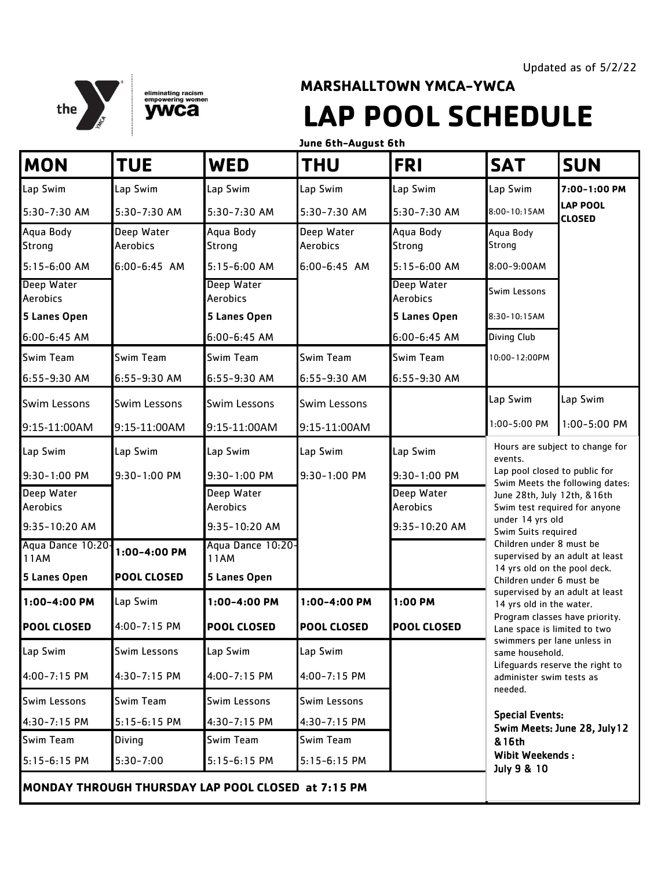



## **MARSHALLTOWN YMCA-YWCA LAP POOL SCHEDULE**

**June 6th-August 6th**

| <b>MON</b>                       | <b>TUE</b>             | <b>WED</b>                                         | <b>THU</b>             | <b>FRI</b>             | <b>SAT</b>                                                                                                     | <b>SUN</b>                       |  |
|----------------------------------|------------------------|----------------------------------------------------|------------------------|------------------------|----------------------------------------------------------------------------------------------------------------|----------------------------------|--|
| Lap Swim                         | Lap Swim               | Lap Swim                                           | Lap Swim               | Lap Swim               | Lap Swim                                                                                                       | 7:00-1:00 PM                     |  |
| 5:30-7:30 AM                     | 5:30-7:30 AM           | 5:30-7:30 AM                                       | 5:30-7:30 AM           | 5:30-7:30 AM           | $8:00 - 10:15AM$                                                                                               | <b>LAP POOL</b><br><b>CLOSED</b> |  |
| Aqua Body<br><b>Strong</b>       | Deep Water<br>Aerobics | Aqua Body<br>Strong                                | Deep Water<br>Aerobics | Aqua Body<br>Strong    | Aqua Body<br>Strong                                                                                            |                                  |  |
| 5:15-6:00 AM                     | 6:00-6:45 AM           | 5:15-6:00 AM                                       | $6:00 - 6:45$ AM       | $5:15 - 6:00$ AM       | 8:00-9:00AM                                                                                                    |                                  |  |
| Deep Water<br>Aerobics           |                        | Deep Water<br>Aerobics                             |                        | Deep Water<br>Aerobics | Swim Lessons                                                                                                   |                                  |  |
| 5 Lanes Open                     |                        | 5 Lanes Open                                       |                        | 5 Lanes Open           | 8:30-10:15AM                                                                                                   |                                  |  |
| 6:00-6:45 AM                     |                        | $6:00 - 6:45$ AM                                   |                        | 6:00-6:45 AM           | Diving Club                                                                                                    |                                  |  |
| <b>Swim Team</b>                 | Swim Team              | Swim Team                                          | Swim Team              | Swim Team              | 10:00-12:00PM                                                                                                  |                                  |  |
| 6:55-9:30 AM                     | 6:55-9:30 AM           | 6:55-9:30 AM                                       | 6:55-9:30 AM           | 6:55-9:30 AM           |                                                                                                                |                                  |  |
| <b>Swim Lessons</b>              | <b>Swim Lessons</b>    | Swim Lessons                                       | Swim Lessons           |                        | Lap Swim                                                                                                       | Lap Swim                         |  |
| 9:15-11:00AM                     | 9:15-11:00AM           | 9:15-11:00AM                                       | 9:15-11:00AM           |                        | 1:00-5:00 PM                                                                                                   | 1:00-5:00 PM                     |  |
| Lap Swim                         | Lap Swim               | Lap Swim                                           | Lap Swim               | Lap Swim               | Hours are subject to change for<br>events.<br>Lap pool closed to public for<br>Swim Meets the following dates: |                                  |  |
| 9:30-1:00 PM                     | 9:30-1:00 PM           | 9:30-1:00 PM                                       | 9:30-1:00 PM           | 9:30-1:00 PM           |                                                                                                                |                                  |  |
| Deep Water<br>Aerobics           |                        | Deep Water<br>Aerobics                             |                        | Deep Water<br>Aerobics | June 28th, July 12th, & 16th                                                                                   | Swim test required for anyone    |  |
| 9:35-10:20 AM                    |                        | 9:35-10:20 AM                                      |                        | 9:35-10:20 AM          | under 14 yrs old<br>Swim Suits required                                                                        |                                  |  |
| Aqua Dance 10:20-<br><b>11AM</b> | 1:00-4:00 PM           | Aqua Dance 10:20-<br>11AM                          |                        |                        | Children under 8 must be<br>14 yrs old on the pool deck.                                                       | supervised by an adult at least  |  |
| 5 Lanes Open                     | <b>POOL CLOSED</b>     | 5 Lanes Open                                       |                        |                        | Children under 6 must be                                                                                       |                                  |  |
| 1:00-4:00 PM                     | Lap Swim               | 1:00-4:00 PM                                       | 1:00-4:00 PM           | 1:00 PM                | supervised by an adult at least<br>14 yrs old in the water.                                                    |                                  |  |
| <b>POOL CLOSED</b>               | 4:00-7:15 PM           | <b>POOL CLOSED</b>                                 | <b>POOL CLOSED</b>     | <b>POOL CLOSED</b>     | Program classes have priority.<br>Lane space is limited to two                                                 |                                  |  |
| Lap Swim                         | Swim Lessons           | Lap Swim                                           | Lap Swim               |                        | swimmers per lane unless in<br>same household.                                                                 |                                  |  |
| 4:00-7:15 PM                     | 4:30-7:15 PM           | 4:00-7:15 PM                                       | 4:00-7:15 PM           |                        | Lifeguards reserve the right to<br>administer swim tests as                                                    |                                  |  |
| Swim Lessons                     | Swim Team              | Swim Lessons                                       | Swim Lessons           |                        | needed.                                                                                                        |                                  |  |
| 4:30-7:15 PM                     | 5:15-6:15 PM           | $4:30 - 7:15$ PM                                   | 4:30-7:15 PM           |                        | <b>Special Events:</b>                                                                                         | Swim Meets: June 28, July 12     |  |
| <b>Swim Team</b>                 | <b>Diving</b>          | Swim Team                                          | Swim Team              |                        | & 16th                                                                                                         |                                  |  |
| 5:15-6:15 PM                     | $5:30 - 7:00$          | $5:15 - 6:15$ PM                                   | $5:15 - 6:15$ PM       |                        | <b>Wibit Weekends:</b><br>July 9 & 10                                                                          |                                  |  |
|                                  |                        | MONDAY THROUGH THURSDAY LAP POOL CLOSED at 7:15 PM |                        |                        |                                                                                                                |                                  |  |